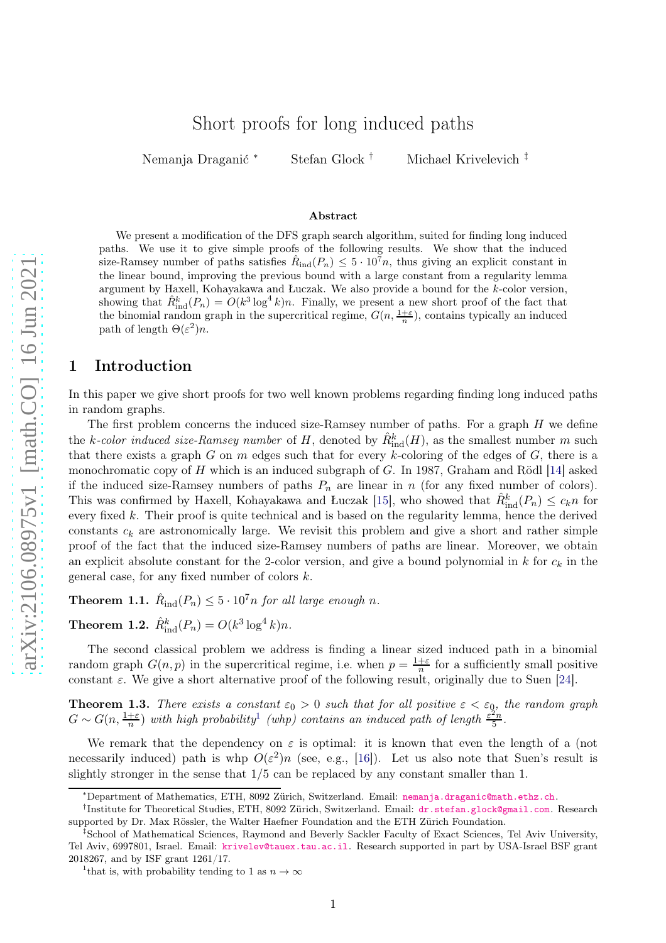# Short proofs for long induced paths

Nemanja Draganić <sup>∗</sup> Stefan Glock † Michael Krivelevich ‡

#### Abstract

We present a modification of the DFS graph search algorithm, suited for finding long induced paths. We use it to give simple proofs of the following results. We show that the induced size-Ramsey number of paths satisfies  $\hat{R}_{ind}(P_n) \leq 5 \cdot 10^7 n$ , thus giving an explicit constant in the linear bound, improving the previous bound with a large constant from a regularity lemma argument by Haxell, Kohayakawa and Łuczak. We also provide a bound for the k-color version, showing that  $\hat{R}_{ind}^k(P_n) = O(k^3 \log^4 k)n$ . Finally, we present a new short proof of the fact that the binomial random graph in the supercritical regime,  $G(n, \frac{1+\varepsilon}{n})$ , contains typically an induced path of length  $\Theta(\varepsilon^2)n$ .

### 1 Introduction

In this paper we give short proofs for two well known problems regarding finding long induced paths in random graphs.

The first problem concerns the induced size-Ramsey number of paths. For a graph  $H$  we define the k-color induced size-Ramsey number of H, denoted by  $\hat{R}^k_{\text{ind}}(H)$ , as the smallest number m such that there exists a graph G on m edges such that for every k-coloring of the edges of  $G$ , there is a monochromatic copy of  $H$  which is an induced subgraph of  $G$ . In 1987, Graham and Rödl [\[14\]](#page-7-0) asked if the induced size-Ramsey numbers of paths  $P_n$  are linear in n (for any fixed number of colors). This was confirmed by Haxell, Kohayakawa and Łuczak [\[15\]](#page-7-1), who showed that  $\hat{R}^k_{\text{ind}}(P_n) \leq c_k n$  for every fixed  $k$ . Their proof is quite technical and is based on the regularity lemma, hence the derived constants  $c_k$  are astronomically large. We revisit this problem and give a short and rather simple proof of the fact that the induced size-Ramsey numbers of paths are linear. Moreover, we obtain an explicit absolute constant for the 2-color version, and give a bound polynomial in  $k$  for  $c_k$  in the general case, for any fixed number of colors  $k$ .

<span id="page-0-2"></span>**Theorem 1.1.**  $\hat{R}_{ind}(P_n) \leq 5 \cdot 10^7 n$  for all large enough n.

<span id="page-0-3"></span>**Theorem 1.2.**  $\hat{R}_{\text{ind}}^k(P_n) = O(k^3 \log^4 k)n$ .

The second classical problem we address is finding a linear sized induced path in a binomial random graph  $G(n, p)$  in the supercritical regime, i.e. when  $p = \frac{1+\varepsilon}{n}$  $\frac{+ \varepsilon}{n}$  for a sufficiently small positive constant  $\varepsilon$ . We give a short alternative proof of the following result, originally due to Suen [\[24\]](#page-8-0).

<span id="page-0-1"></span>**Theorem 1.3.** *There exists a constant*  $\varepsilon_0 > 0$  *such that for all positive*  $\varepsilon < \varepsilon_0$ *, the random graph*  $G \sim G(n, \frac{1+\epsilon}{n})$  $G \sim G(n, \frac{1+\epsilon}{n})$  $G \sim G(n, \frac{1+\epsilon}{n})$  with high probability<sup>1</sup> (whp) contains an induced path of length  $\frac{\epsilon^2 n}{5}$  $rac{2n}{5}$ .

We remark that the dependency on  $\varepsilon$  is optimal: it is known that even the length of a (not necessarily induced) path is whp  $O(\varepsilon^2)n$  (see, e.g., [\[16\]](#page-7-2)). Let us also note that Suen's result is slightly stronger in the sense that  $1/5$  can be replaced by any constant smaller than 1.

<sup>∗</sup>Department of Mathematics, ETH, 8092 Zürich, Switzerland. Email: [nemanja.draganic@math.ethz.ch](mailto:nemanja.draganic@math.ethz.ch).

<sup>†</sup> Institute for Theoretical Studies, ETH, 8092 Zürich, Switzerland. Email: [dr.stefan.glock@gmail.com](mailto:dr.stefan.glock@gmail.com). Research supported by Dr. Max Rössler, the Walter Haefner Foundation and the ETH Zürich Foundation.

<sup>‡</sup>School of Mathematical Sciences, Raymond and Beverly Sackler Faculty of Exact Sciences, Tel Aviv University, Tel Aviv, 6997801, Israel. Email: [krivelev@tauex.tau.ac.il](mailto:krivelev@tauex.tau.ac.il). Research supported in part by USA-Israel BSF grant 2018267, and by ISF grant 1261/17.

<span id="page-0-0"></span><sup>&</sup>lt;sup>1</sup> that is, with probability tending to 1 as  $n \to \infty$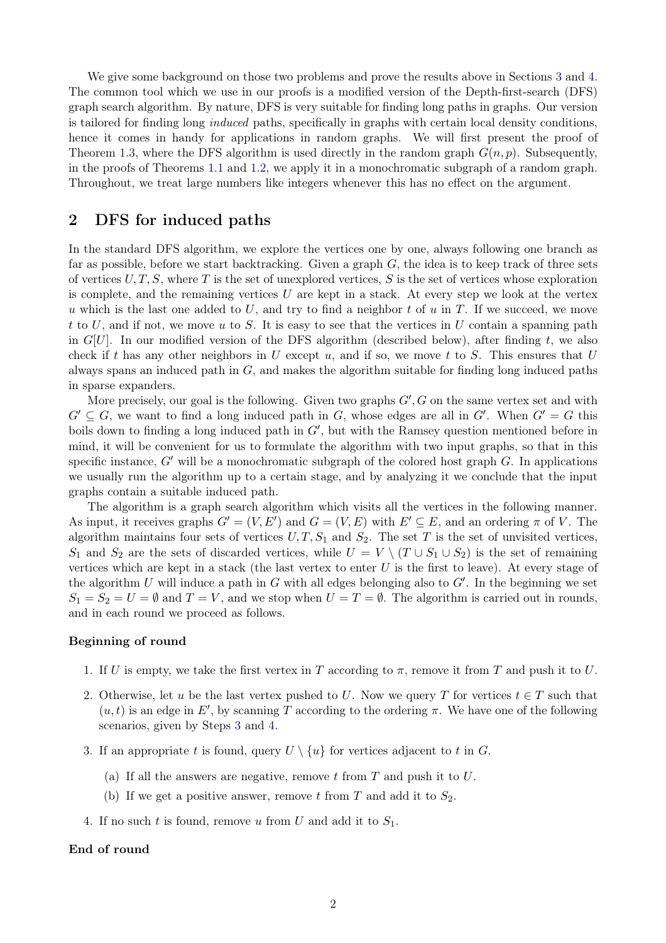We give some background on those two problems and prove the results above in Sections [3](#page-2-0) and [4.](#page-4-0) The common tool which we use in our proofs is a modified version of the Depth-first-search (DFS) graph search algorithm. By nature, DFS is very suitable for finding long paths in graphs. Our version is tailored for finding long *induced* paths, specifically in graphs with certain local density conditions, hence it comes in handy for applications in random graphs. We will first present the proof of Theorem [1.3,](#page-0-1) where the DFS algorithm is used directly in the random graph  $G(n, p)$ . Subsequently, in the proofs of Theorems [1.1](#page-0-2) and [1.2,](#page-0-3) we apply it in a monochromatic subgraph of a random graph. Throughout, we treat large numbers like integers whenever this has no effect on the argument.

# <span id="page-1-2"></span>2 DFS for induced paths

In the standard DFS algorithm, we explore the vertices one by one, always following one branch as far as possible, before we start backtracking. Given a graph  $G$ , the idea is to keep track of three sets of vertices  $U, T, S$ , where T is the set of unexplored vertices, S is the set of vertices whose exploration is complete, and the remaining vertices  $U$  are kept in a stack. At every step we look at the vertex u which is the last one added to U, and try to find a neighbor t of u in T. If we succeed, we move t to U, and if not, we move u to S. It is easy to see that the vertices in U contain a spanning path in  $G[U]$ . In our modified version of the DFS algorithm (described below), after finding t, we also check if t has any other neighbors in U except u, and if so, we move t to S. This ensures that U always spans an induced path in  $G$ , and makes the algorithm suitable for finding long induced paths in sparse expanders.

More precisely, our goal is the following. Given two graphs  $G'$ , G on the same vertex set and with  $G' \subseteq G$ , we want to find a long induced path in G, whose edges are all in G'. When  $G' = G$  this boils down to finding a long induced path in  $G'$ , but with the Ramsey question mentioned before in mind, it will be convenient for us to formulate the algorithm with two input graphs, so that in this specific instance,  $G'$  will be a monochromatic subgraph of the colored host graph  $G$ . In applications we usually run the algorithm up to a certain stage, and by analyzing it we conclude that the input graphs contain a suitable induced path.

The algorithm is a graph search algorithm which visits all the vertices in the following manner. As input, it receives graphs  $G' = (V, E')$  and  $G = (V, E)$  with  $E' \subseteq E$ , and an ordering  $\pi$  of V. The algorithm maintains four sets of vertices  $U, T, S_1$  and  $S_2$ . The set T is the set of unvisited vertices, S<sub>1</sub> and S<sub>2</sub> are the sets of discarded vertices, while  $U = V \setminus (T \cup S_1 \cup S_2)$  is the set of remaining vertices which are kept in a stack (the last vertex to enter  $U$  is the first to leave). At every stage of the algorithm U will induce a path in G with all edges belonging also to  $G'$ . In the beginning we set  $S_1 = S_2 = U = \emptyset$  and  $T = V$ , and we stop when  $U = T = \emptyset$ . The algorithm is carried out in rounds, and in each round we proceed as follows.

### Beginning of round

- <span id="page-1-3"></span>1. If U is empty, we take the first vertex in T according to  $\pi$ , remove it from T and push it to U.
- 2. Otherwise, let u be the last vertex pushed to U. Now we query T for vertices  $t \in T$  such that  $(u, t)$  is an edge in E', by scanning T according to the ordering  $\pi$ . We have one of the following scenarios, given by Steps [3](#page-1-0) and [4.](#page-1-1)
- <span id="page-1-0"></span>3. If an appropriate t is found, query  $U \setminus \{u\}$  for vertices adjacent to t in G.
	- (a) If all the answers are negative, remove  $t$  from  $T$  and push it to  $U$ .
	- (b) If we get a positive answer, remove t from T and add it to  $S_2$ .
- <span id="page-1-1"></span>4. If no such t is found, remove u from U and add it to  $S_1$ .

#### End of round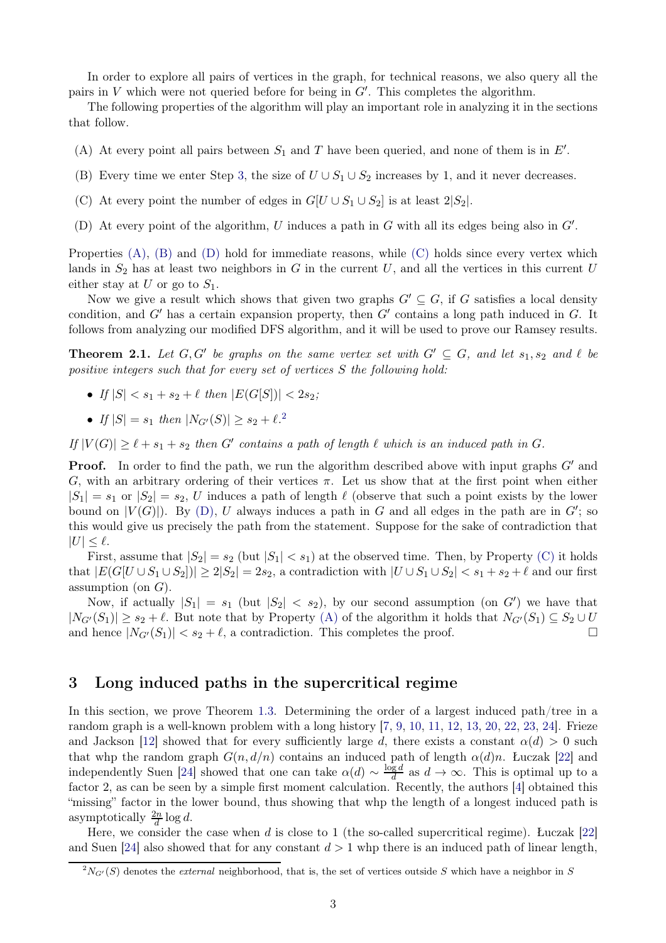In order to explore all pairs of vertices in the graph, for technical reasons, we also query all the pairs in V which were not queried before for being in  $G'$ . This completes the algorithm.

<span id="page-2-1"></span>The following properties of the algorithm will play an important role in analyzing it in the sections that follow.

- <span id="page-2-2"></span>(A) At every point all pairs between  $S_1$  and T have been queried, and none of them is in  $E'$ .
- <span id="page-2-4"></span>(B) Every time we enter Step [3,](#page-1-0) the size of  $U \cup S_1 \cup S_2$  increases by 1, and it never decreases.
- <span id="page-2-3"></span>(C) At every point the number of edges in  $G[U \cup S_1 \cup S_2]$  is at least  $2|S_2|$ .
- (D) At every point of the algorithm, U induces a path in G with all its edges being also in  $G'$ .

Properties  $(A)$ ,  $(B)$  and  $(D)$  hold for immediate reasons, while  $(C)$  holds since every vertex which lands in  $S_2$  has at least two neighbors in G in the current U, and all the vertices in this current U either stay at U or go to  $S_1$ .

Now we give a result which shows that given two graphs  $G' \subseteq G$ , if G satisfies a local density condition, and G' has a certain expansion property, then G' contains a long path induced in G. It follows from analyzing our modified DFS algorithm, and it will be used to prove our Ramsey results.

<span id="page-2-6"></span>**Theorem 2.1.** Let  $G, G'$  be graphs on the same vertex set with  $G' \subseteq G$ , and let  $s_1, s_2$  and  $\ell$  be *positive integers such that for every set of vertices* S *the following hold:*

- *If*  $|S| < s_1 + s_2 + \ell$  *then*  $|E(G[S])| < 2s_2$ ;
- If  $|S| = s_1$  then  $|N_{G'}(S)| \ge s_2 + \ell^2$  $|N_{G'}(S)| \ge s_2 + \ell^2$  $|N_{G'}(S)| \ge s_2 + \ell^2$ .

 $I_f |V(G)| \geq \ell + s_1 + s_2$  *then*  $G'$  *contains a path of length*  $\ell$  *which is an induced path in*  $G$ *.* 

**Proof.** In order to find the path, we run the algorithm described above with input graphs  $G'$  and G, with an arbitrary ordering of their vertices  $\pi$ . Let us show that at the first point when either  $|S_1| = s_1$  or  $|S_2| = s_2$ , U induces a path of length  $\ell$  (observe that such a point exists by the lower bound on  $|V(G)|$ ). By [\(D\),](#page-2-3) U always induces a path in G and all edges in the path are in  $G'$ ; so this would give us precisely the path from the statement. Suppose for the sake of contradiction that  $|U| \leq \ell$ .

First, assume that  $|S_2| = s_2$  (but  $|S_1| < s_1$ ) at the observed time. Then, by Property [\(C\)](#page-2-4) it holds that  $|E(G[U \cup S_1 \cup S_2])| \geq 2|S_2| = 2s_2$ , a contradiction with  $|U \cup S_1 \cup S_2| < s_1 + s_2 + \ell$  and our first assumption (on  $G$ ).

Now, if actually  $|S_1| = s_1$  (but  $|S_2| < s_2$ ), by our second assumption (on G') we have that  $|N_{G'}(S_1)| \geq s_2 + \ell$ . But note that by Property [\(A\)](#page-2-1) of the algorithm it holds that  $N_{G'}(S_1) \subseteq S_2 \cup U$ <br>and hence  $|N_{G'}(S_1)| < s_2 + \ell$  a contradiction. This completes the proof and hence  $|N_{G'}(S_1)| < s_2 + \ell$ , a contradiction. This completes the proof.

# <span id="page-2-0"></span>3 Long induced paths in the supercritical regime

In this section, we prove Theorem [1.3.](#page-0-1) Determining the order of a largest induced path/tree in a random graph is a well-known problem with a long history [\[7,](#page-7-3) [9,](#page-7-4) [10,](#page-7-5) [11,](#page-7-6) [12,](#page-7-7) [13,](#page-7-8) [20,](#page-8-1) [22,](#page-8-2) [23,](#page-8-3) [24\]](#page-8-0). Frieze and Jackson [\[12\]](#page-7-7) showed that for every sufficiently large d, there exists a constant  $\alpha(d) > 0$  such that whp the random graph  $G(n, d/n)$  contains an induced path of length  $\alpha(d)n$ . Łuczak [\[22\]](#page-8-2) and independently Suen [\[24\]](#page-8-0) showed that one can take  $\alpha(d) \sim \frac{\log d}{d}$  $\frac{ga}{d}$  as  $d \to \infty$ . This is optimal up to a factor 2, as can be seen by a simple first moment calculation. Recently, the authors [\[4\]](#page-7-9) obtained this "missing" factor in the lower bound, thus showing that whp the length of a longest induced path is asymptotically  $\frac{2n}{d} \log d$ .

Here, we consider the case when d is close to 1 (the so-called supercritical regime). Łuczak  $[22]$ and Suen [\[24\]](#page-8-0) also showed that for any constant  $d > 1$  whp there is an induced path of linear length,

<span id="page-2-5"></span> $^{2}N_{G'}(S)$  denotes the *external* neighborhood, that is, the set of vertices outside S which have a neighbor in S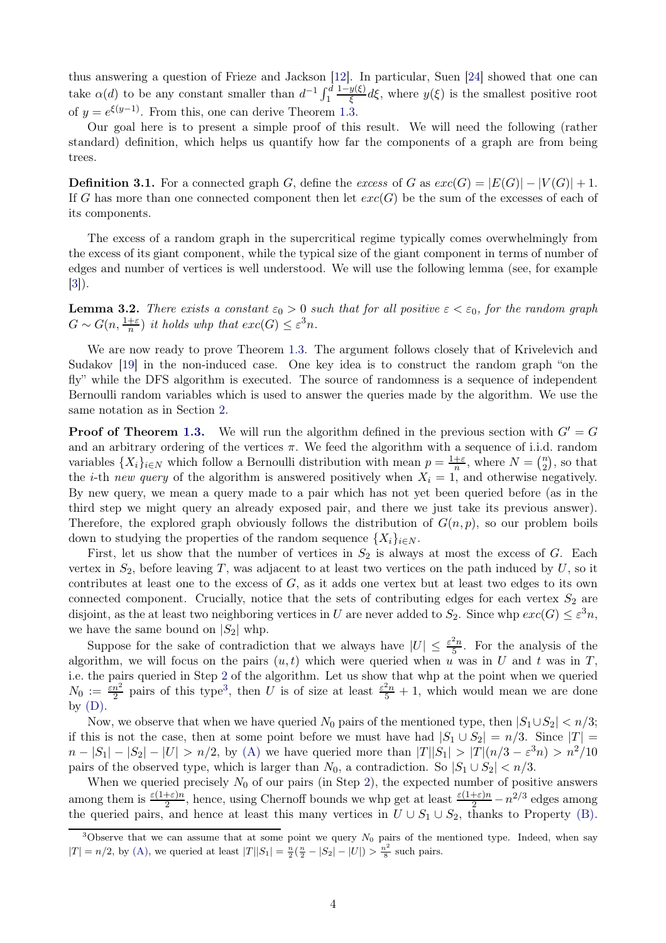thus answering a question of Frieze and Jackson [\[12\]](#page-7-7). In particular, Suen [\[24\]](#page-8-0) showed that one can take  $\alpha(d)$  to be any constant smaller than  $d^{-1} \int_1^d \frac{1-y(\xi)}{\xi} d\xi$ , where  $y(\xi)$  is the smallest positive root of  $y = e^{\xi(y-1)}$ . From this, one can derive Theorem [1.3.](#page-0-1)

Our goal here is to present a simple proof of this result. We will need the following (rather standard) definition, which helps us quantify how far the components of a graph are from being trees.

**Definition 3.1.** For a connected graph G, define the *excess* of G as  $exc(G) = |E(G)| - |V(G)| + 1$ . If G has more than one connected component then let  $exc(G)$  be the sum of the excesses of each of its components.

The excess of a random graph in the supercritical regime typically comes overwhelmingly from the excess of its giant component, while the typical size of the giant component in terms of number of edges and number of vertices is well understood. We will use the following lemma (see, for example [\[3\]](#page-7-10)).

**Lemma 3.2.** *There exists a constant*  $\varepsilon_0 > 0$  *such that for all positive*  $\varepsilon < \varepsilon_0$ *, for the random graph*  $G \sim G(n, \frac{1+\varepsilon}{n})$  *it holds whp that*  $exc(G) \leq \varepsilon^3 n$ .

We are now ready to prove Theorem [1.3.](#page-0-1) The argument follows closely that of Krivelevich and Sudakov [\[19\]](#page-8-4) in the non-induced case. One key idea is to construct the random graph "on the fly" while the DFS algorithm is executed. The source of randomness is a sequence of independent Bernoulli random variables which is used to answer the queries made by the algorithm. We use the same notation as in Section [2.](#page-1-2)

**Proof of Theorem [1.3.](#page-0-1)** We will run the algorithm defined in the previous section with  $G' = G$ and an arbitrary ordering of the vertices  $\pi$ . We feed the algorithm with a sequence of i.i.d. random variables  $\{X_i\}_{i\in\mathbb{N}}$  which follow a Bernoulli distribution with mean  $p = \frac{1+\varepsilon}{n}$  $\frac{+ \varepsilon}{n}$ , where  $N = \binom{n}{2}$  $\binom{n}{2}$ , so that the *i*-th *new query* of the algorithm is answered positively when  $X_i = 1$ , and otherwise negatively. By new query, we mean a query made to a pair which has not yet been queried before (as in the third step we might query an already exposed pair, and there we just take its previous answer). Therefore, the explored graph obviously follows the distribution of  $G(n, p)$ , so our problem boils down to studying the properties of the random sequence  $\{X_i\}_{i\in N}$ .

First, let us show that the number of vertices in  $S_2$  is always at most the excess of G. Each vertex in  $S_2$ , before leaving T, was adjacent to at least two vertices on the path induced by U, so it contributes at least one to the excess of  $G$ , as it adds one vertex but at least two edges to its own connected component. Crucially, notice that the sets of contributing edges for each vertex  $S_2$  are disjoint, as the at least two neighboring vertices in U are never added to  $S_2$ . Since whp  $exc(G) \leq \varepsilon^3 n$ , we have the same bound on  $|S_2|$  whp.

Suppose for the sake of contradiction that we always have  $|U| \leq \frac{\varepsilon^2 n}{5}$  $\frac{z_n}{5}$ . For the analysis of the algorithm, we will focus on the pairs  $(u, t)$  which were queried when u was in U and t was in T, i.e. the pairs queried in Step [2](#page-1-3) of the algorithm. Let us show that whp at the point when we queried  $N_0 := \frac{\varepsilon n^2}{2}$  pairs of this type<sup>[3](#page-3-0)</sup>, then U is of size at least  $\frac{\varepsilon^2 n}{5} + 1$ , which would mean we are done by  $(D)$ .

Now, we observe that when we have queried  $N_0$  pairs of the mentioned type, then  $|S_1 \cup S_2| < n/3$ ; if this is not the case, then at some point before we must have had  $|S_1 \cup S_2| = n/3$ . Since  $|T| =$  $n - |S_1| - |S_2| - |U| > n/2$ , by [\(A\)](#page-2-1) we have queried more than  $|T||S_1| > |T|(n/3 - \varepsilon^3 n) > n^2/10$ pairs of the observed type, which is larger than  $N_0$ , a contradiction. So  $|S_1 \cup S_2| < n/3$ .

When we queried precisely  $N_0$  of our pairs (in Step [2\)](#page-1-3), the expected number of positive answers among them is  $\frac{\varepsilon(1+\varepsilon)n}{2}$ , hence, using Chernoff bounds we whp get at least  $\frac{\varepsilon(1+\varepsilon)n}{2} - n^{2/3}$  edges among the queried pairs, and hence at least this many vertices in  $U \cup S_1 \cup S_2$ , thanks to Property [\(B\).](#page-2-2)

<span id="page-3-0"></span><sup>&</sup>lt;sup>3</sup>Observe that we can assume that at some point we query  $N_0$  pairs of the mentioned type. Indeed, when say  $|T| = n/2$ , by [\(A\),](#page-2-1) we queried at least  $|T||S_1| = \frac{n}{2}(\frac{n}{2} - |S_2| - |U|) > \frac{n^2}{8}$  $\frac{1}{8}$  such pairs.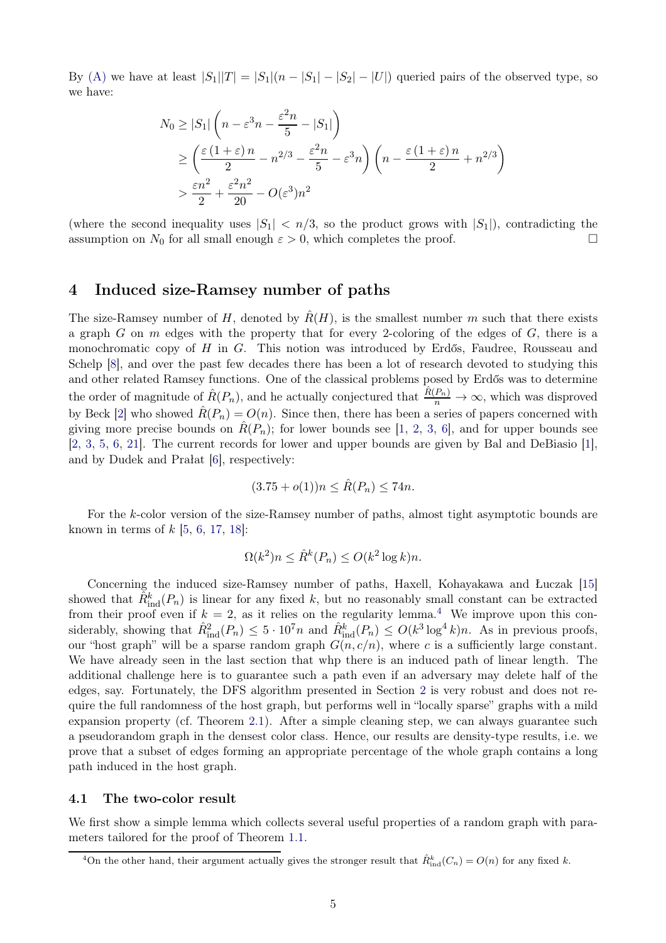By [\(A\)](#page-2-1) we have at least  $|S_1||T| = |S_1|(n - |S_1| - |S_2| - |U|)$  queried pairs of the observed type, so we have:

$$
N_0 \ge |S_1| \left( n - \varepsilon^3 n - \frac{\varepsilon^2 n}{5} - |S_1| \right)
$$
  
\n
$$
\ge \left( \frac{\varepsilon (1 + \varepsilon) n}{2} - n^{2/3} - \frac{\varepsilon^2 n}{5} - \varepsilon^3 n \right) \left( n - \frac{\varepsilon (1 + \varepsilon) n}{2} + n^{2/3} \right)
$$
  
\n
$$
> \frac{\varepsilon n^2}{2} + \frac{\varepsilon^2 n^2}{20} - O(\varepsilon^3) n^2
$$

(where the second inequality uses  $|S_1| < n/3$ , so the product grows with  $|S_1|$ ), contradicting the assumption on  $N_0$  for all small enough  $\varepsilon > 0$  which completes the proof assumption on  $N_0$  for all small enough  $\varepsilon > 0$ , which completes the proof.

# <span id="page-4-0"></span>4 Induced size-Ramsey number of paths

The size-Ramsey number of H, denoted by  $\hat{R}(H)$ , is the smallest number m such that there exists a graph G on m edges with the property that for every 2-coloring of the edges of  $G$ , there is a monochromatic copy of  $H$  in  $G$ . This notion was introduced by Erdős, Faudree, Rousseau and Schelp [\[8\]](#page-7-11), and over the past few decades there has been a lot of research devoted to studying this and other related Ramsey functions. One of the classical problems posed by Erdős was to determine the order of magnitude of  $\hat{R}(P_n)$ , and he actually conjectured that  $\frac{\hat{R}(P_n)}{n} \to \infty$ , which was disproved by Beck [\[2\]](#page-7-12) who showed  $\hat{R}(P_n) = O(n)$ . Since then, there has been a series of papers concerned with giving more precise bounds on  $\hat{R}(P_n)$ ; for lower bounds see [\[1,](#page-7-13) [2,](#page-7-12) [3,](#page-7-10) [6\]](#page-7-14), and for upper bounds see [\[2,](#page-7-12) [3,](#page-7-10) [5,](#page-7-15) [6,](#page-7-14) [21\]](#page-8-5). The current records for lower and upper bounds are given by Bal and DeBiasio [\[1\]](#page-7-13), and by Dudek and Prałat [\[6\]](#page-7-14), respectively:

$$
(3.75 + o(1))n \leq \hat{R}(P_n) \leq 74n.
$$

For the k-color version of the size-Ramsey number of paths, almost tight asymptotic bounds are known in terms of  $k$  [\[5,](#page-7-15) [6,](#page-7-14) [17,](#page-8-6) [18\]](#page-8-7):

$$
\Omega(k^2)n \le \hat{R}^k(P_n) \le O(k^2 \log k)n.
$$

Concerning the induced size-Ramsey number of paths, Haxell, Kohayakawa and Łuczak [\[15\]](#page-7-1) showed that  $\hat{R}_{ind}^k(P_n)$  is linear for any fixed k, but no reasonably small constant can be extracted from their proof even if  $k = 2$ , as it relies on the regularity lemma.<sup>[4](#page-4-1)</sup> We improve upon this considerably, showing that  $\hat{R}_{ind}^2(P_n) \leq 5 \cdot 10^7 n$  and  $\hat{R}_{ind}^k(P_n) \leq O(k^3 \log^4 k) n$ . As in previous proofs, our "host graph" will be a sparse random graph  $G(n, c/n)$ , where c is a sufficiently large constant. We have already seen in the last section that whp there is an induced path of linear length. The additional challenge here is to guarantee such a path even if an adversary may delete half of the edges, say. Fortunately, the DFS algorithm presented in Section [2](#page-1-2) is very robust and does not require the full randomness of the host graph, but performs well in "locally sparse" graphs with a mild expansion property (cf. Theorem [2.1\)](#page-2-6). After a simple cleaning step, we can always guarantee such a pseudorandom graph in the densest color class. Hence, our results are density-type results, i.e. we prove that a subset of edges forming an appropriate percentage of the whole graph contains a long path induced in the host graph.

### 4.1 The two-color result

We first show a simple lemma which collects several useful properties of a random graph with parameters tailored for the proof of Theorem [1.1.](#page-0-2)

<span id="page-4-1"></span><sup>&</sup>lt;sup>4</sup>On the other hand, their argument actually gives the stronger result that  $\hat{R}^k_{\text{ind}}(C_n) = O(n)$  for any fixed k.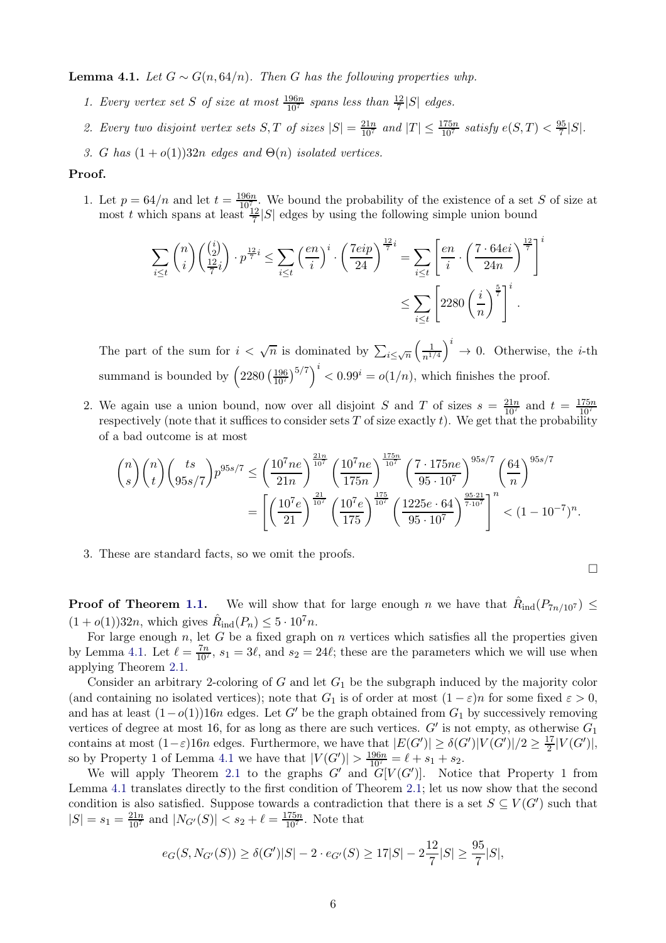<span id="page-5-0"></span>Lemma 4.1. *Let*  $G ∼ G(n, 64/n)$ *. Then*  $G$  *has the following properties whp.* 

- 1. Every vertex set *S* of size at most  $\frac{196n}{10^7}$  spans less than  $\frac{12}{7}|S|$  edges.
- 2. Every two disjoint vertex sets  $S, T$  of sizes  $|S| = \frac{21n}{10^7}$  and  $|T| \le \frac{175n}{10^7}$  satisfy  $e(S, T) < \frac{95}{7}$  $\frac{35}{7}$ |S|.
- *3.* G has  $(1+o(1))32n$  *edges and*  $\Theta(n)$  *isolated vertices.*

#### Proof.

1. Let  $p = 64/n$  and let  $t = \frac{196n}{1070}$ . We bound the probability of the existence of a set S of size at most t which spans at least  $\frac{12}{7}$  |S| edges by using the following simple union bound

$$
\sum_{i \le t} \binom{n}{i} \binom{\binom{i}{2}}{\frac{12}{7}i} \cdot p^{\frac{12}{7}i} \le \sum_{i \le t} \left(\frac{en}{i}\right)^i \cdot \left(\frac{7eip}{24}\right)^{\frac{12}{7}i} = \sum_{i \le t} \left[\frac{en}{i} \cdot \left(\frac{7 \cdot 64ei}{24n}\right)^{\frac{12}{7}}\right]^i
$$

$$
\le \sum_{i \le t} \left[2280\left(\frac{i}{n}\right)^{\frac{5}{7}}\right]^i.
$$

The part of the sum for  $i < \sqrt{n}$  is dominated by  $\sum_{i \leq \sqrt{n}} \left( \frac{1}{n^{1/2}} \right)$  $n^{1/4}$  $i \rightarrow 0$ . Otherwise, the *i*-th summand is bounded by  $\left(2280\left(\frac{196}{10^7}\right)^{5/7}\right)^i < 0.99^i = o(1/n)$ , which finishes the proof.

2. We again use a union bound, now over all disjoint S and T of sizes  $s = \frac{21n}{10^7}$  and  $t = \frac{175n}{10^7}$ respectively (note that it suffices to consider sets T of size exactly  $t$ ). We get that the probability of a bad outcome is at most

$$
\binom{n}{s}\binom{n}{t}\binom{ts}{95s/7}p^{95s/7} \le \left(\frac{10^7ne}{21n}\right)^{\frac{21n}{10^7}} \left(\frac{10^7ne}{175n}\right)^{\frac{175n}{10^7}} \left(\frac{7\cdot 175ne}{95\cdot 10^7}\right)^{95s/7} \left(\frac{64}{n}\right)^{95s/7}
$$

$$
= \left[\left(\frac{10^7e}{21}\right)^{\frac{21}{10^7}} \left(\frac{10^7e}{175}\right)^{\frac{175}{10^7}} \left(\frac{1225e\cdot 64}{95\cdot 10^7}\right)^{\frac{95\cdot 21}{7\cdot 10^7}}\right]^n < (1-10^{-7})^n.
$$

3. These are standard facts, so we omit the proofs.

$$
\Box
$$

**Proof of Theorem [1.1.](#page-0-2)** We will show that for large enough n we have that  $\hat{R}_{ind}(P_{7n/107}) \leq$  $(1+o(1))32n$ , which gives  $\hat{R}_{\text{ind}}(P_n) \leq 5 \cdot 10^7 n$ .

For large enough  $n$ , let  $G$  be a fixed graph on  $n$  vertices which satisfies all the properties given by Lemma [4.1.](#page-5-0) Let  $\ell = \frac{7n}{10^7}$ ,  $s_1 = 3\ell$ , and  $s_2 = 24\ell$ ; these are the parameters which we will use when applying Theorem [2.1.](#page-2-6)

Consider an arbitrary 2-coloring of  $G$  and let  $G_1$  be the subgraph induced by the majority color (and containing no isolated vertices); note that  $G_1$  is of order at most  $(1 - \varepsilon)n$  for some fixed  $\varepsilon > 0$ , and has at least  $(1-o(1))16n$  edges. Let G' be the graph obtained from  $G_1$  by successively removing vertices of degree at most 16, for as long as there are such vertices.  $G'$  is not empty, as otherwise  $G_1$ contains at most  $(1-\varepsilon)16n$  edges. Furthermore, we have that  $|E(G')|\geq \delta(G')|V(G')|/2\geq \frac{17}{2}$  $\frac{17}{2}|V(G')|,$ so by Property 1 of Lemma [4.1](#page-5-0) we have that  $|V(G')| > \frac{196n}{10^7} = \ell + s_1 + s_2$ .

We will apply Theorem [2.1](#page-2-6) to the graphs  $G'$  and  $G[V(G')]$ . Notice that Property 1 from Lemma [4.1](#page-5-0) translates directly to the first condition of Theorem [2.1;](#page-2-6) let us now show that the second condition is also satisfied. Suppose towards a contradiction that there is a set  $S \subseteq V(G')$  such that  $|S| = s_1 = \frac{21n}{10^7}$  and  $|N_{G'}(S)| < s_2 + \ell = \frac{175n}{10^7}$ . Note that

$$
e_G(S, N_{G'}(S)) \ge \delta(G')|S| - 2 \cdot e_{G'}(S) \ge 17|S| - 2\frac{12}{7}|S| \ge \frac{95}{7}|S|,
$$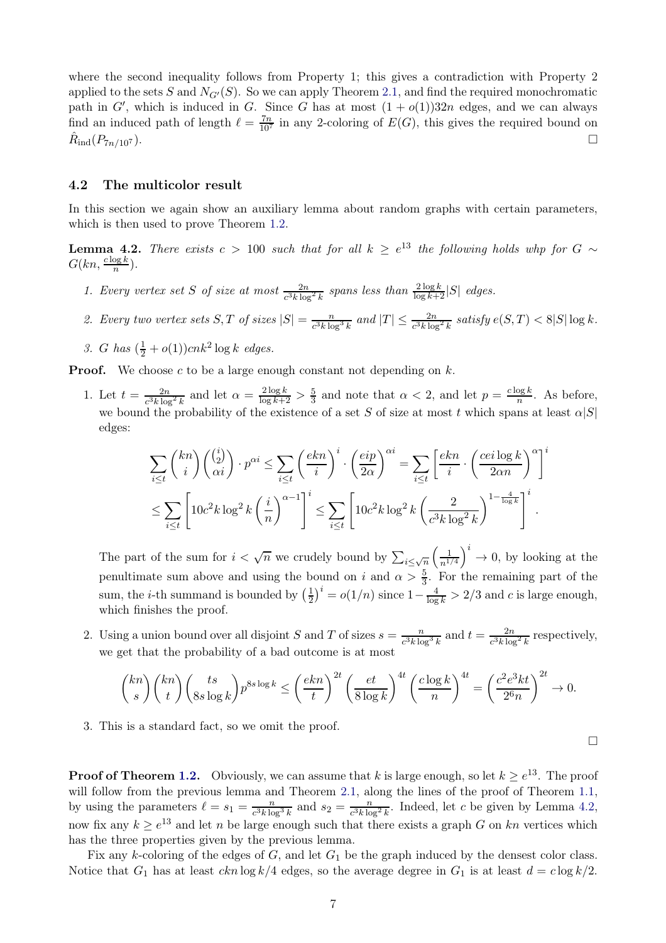where the second inequality follows from Property 1; this gives a contradiction with Property 2 applied to the sets S and  $N_{G'}(S)$ . So we can apply Theorem [2.1,](#page-2-6) and find the required monochromatic path in G', which is induced in G. Since G has at most  $(1 + o(1))32n$  edges, and we can always find an induced path of length  $\ell = \frac{7n}{10^7}$  in any 2-coloring of  $E(G)$ , this gives the required bound on  $R_{\rm ind}(P_{7n/10^7}).$  $\text{ind}(P_{7n/10^7})$ .

### 4.2 The multicolor result

In this section we again show an auxiliary lemma about random graphs with certain parameters, which is then used to prove Theorem [1.2.](#page-0-3)

<span id="page-6-0"></span>**Lemma 4.2.** *There exists*  $c > 100$  *such that for all*  $k \geq e^{13}$  *the following holds whp for*  $G \sim$  $G(kn, \frac{c \log k}{n})$ .

- 1. Every vertex set S of size at most  $\frac{2n}{c^3k \log^2 k}$  spans less than  $\frac{2\log k}{\log k+2}|S|$  edges.
- 2. Every two vertex sets  $S, T$  of sizes  $|S| = \frac{n}{c^3 k \log^3 k}$  and  $|T| \leq \frac{2n}{c^3 k \log^2 k}$  satisfy  $e(S, T) < 8|S| \log k$ .
- *3. G has*  $(\frac{1}{2} + o(1))cnk^2 \log k$  *edges.*

**Proof.** We choose c to be a large enough constant not depending on  $k$ .

1. Let  $t = \frac{2n}{c^3 k \log^2 k}$  and let  $\alpha = \frac{2 \log k}{\log k + 2} > \frac{5}{3}$  and note that  $\alpha < 2$ , and let  $p = \frac{c \log k}{n}$  $\frac{\log \kappa}{n}$ . As before, we bound the probability of the existence of a set S of size at most t which spans at least  $\alpha|S|$ edges:

$$
\sum_{i \le t} \binom{kn}{i} \binom{\binom{i}{2}}{\alpha i} \cdot p^{\alpha i} \le \sum_{i \le t} \left(\frac{ekn}{i}\right)^i \cdot \left(\frac{eip}{2\alpha}\right)^{\alpha i} = \sum_{i \le t} \left[\frac{ekn}{i} \cdot \left(\frac{cei \log k}{2\alpha n}\right)^{\alpha}\right]^i
$$
  

$$
\le \sum_{i \le t} \left[10c^2k \log^2 k \left(\frac{i}{n}\right)^{\alpha - 1}\right]^i \le \sum_{i \le t} \left[10c^2k \log^2 k \left(\frac{2}{c^3k \log^2 k}\right)^{1 - \frac{4}{\log k}}\right]^i.
$$

The part of the sum for  $i < \sqrt{n}$  we crudely bound by  $\sum_{i \leq \sqrt{n}} \left( \frac{1}{n^{1/2}} \right)$  $n^{1/4}$  $i \rightarrow 0$ , by looking at the penultimate sum above and using the bound on i and  $\alpha > \frac{5}{3}$ . For the remaining part of the sum, the *i*-th summand is bounded by  $\left(\frac{1}{2}\right)$  $\frac{1}{2}$ )<sup>*i*</sup> =  $o(1/n)$  since  $1 - \frac{4}{\log k} > 2/3$  and *c* is large enough, which finishes the proof.

2. Using a union bound over all disjoint S and T of sizes  $s = \frac{n}{c^3 k \log^3 k}$  and  $t = \frac{2n}{c^3 k \log^2 k}$  respectively, we get that the probability of a bad outcome is at most

$$
\binom{kn}{s}\binom{kn}{t}\binom{ts}{8s\log k}p^{8s\log k} \le \left(\frac{ekn}{t}\right)^{2t}\left(\frac{et}{8\log k}\right)^{4t}\left(\frac{c\log k}{n}\right)^{4t} = \left(\frac{c^2e^3kt}{2^6n}\right)^{2t} \to 0.
$$

 $\Box$ 

3. This is a standard fact, so we omit the proof.

**Proof of Theorem [1.2.](#page-0-3)** Obviously, we can assume that k is large enough, so let  $k \ge e^{13}$ . The proof will follow from the previous lemma and Theorem [2.1,](#page-2-6) along the lines of the proof of Theorem [1.1,](#page-0-2) by using the parameters  $\ell = s_1 = \frac{n}{c^3 k \ln n}$  $\frac{n}{c^3k\log^3k}$  and  $s_2 = \frac{n}{c^3k\log^3k}$  $\frac{n}{c^3k\log^2 k}$ . Indeed, let c be given by Lemma [4.2,](#page-6-0) now fix any  $k \ge e^{13}$  and let n be large enough such that there exists a graph G on kn vertices which has the three properties given by the previous lemma.

Fix any k-coloring of the edges of  $G$ , and let  $G_1$  be the graph induced by the densest color class. Notice that  $G_1$  has at least  $ckn \log k/4$  edges, so the average degree in  $G_1$  is at least  $d = c \log k/2$ .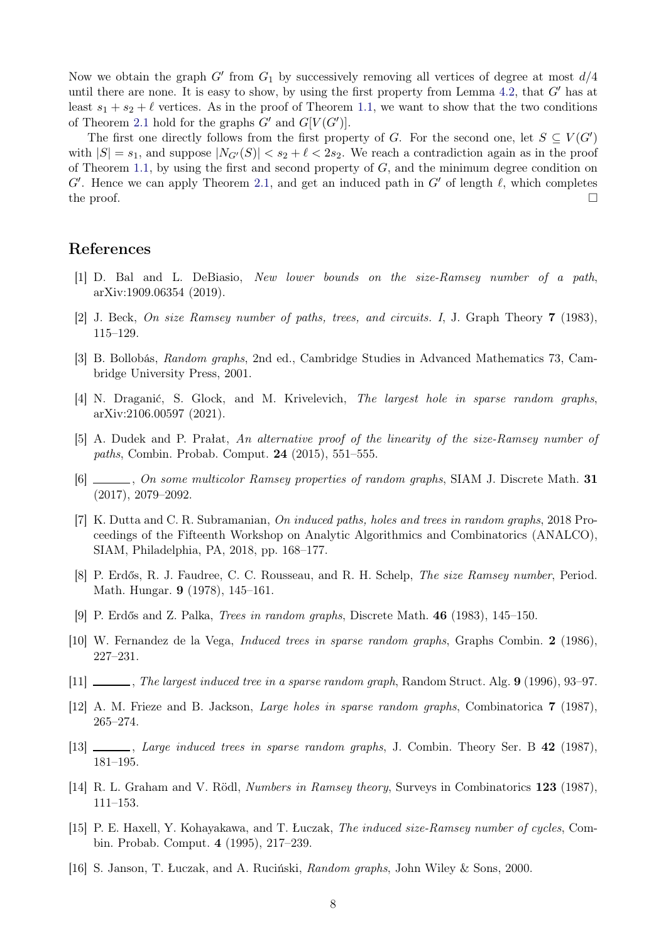Now we obtain the graph  $G'$  from  $G_1$  by successively removing all vertices of degree at most  $d/4$ until there are none. It is easy to show, by using the first property from Lemma [4.2,](#page-6-0) that  $G'$  has at least  $s_1 + s_2 + \ell$  vertices. As in the proof of Theorem [1.1,](#page-0-2) we want to show that the two conditions of Theorem [2.1](#page-2-6) hold for the graphs  $G'$  and  $G[V(G')].$ 

The first one directly follows from the first property of G. For the second one, let  $S \subseteq V(G')$ with  $|S| = s_1$ , and suppose  $|N_{G'}(S)| < s_2 + \ell < 2s_2$ . We reach a contradiction again as in the proof of Theorem [1.1,](#page-0-2) by using the first and second property of  $G$ , and the minimum degree condition on  $G'$ . Hence we can apply Theorem [2.1,](#page-2-6) and get an induced path in  $G'$  of length  $\ell$ , which completes the proof.  $\Box$ 

### <span id="page-7-13"></span>References

- <span id="page-7-12"></span>[1] D. Bal and L. DeBiasio, *New lower bounds on the size-Ramsey number of a path*, arXiv:1909.06354 (2019).
- <span id="page-7-10"></span>[2] J. Beck, *On size Ramsey number of paths, trees, and circuits. I*, J. Graph Theory 7 (1983), 115–129.
- <span id="page-7-9"></span>[3] B. Bollobás, *Random graphs*, 2nd ed., Cambridge Studies in Advanced Mathematics 73, Cambridge University Press, 2001.
- <span id="page-7-15"></span>[4] N. Draganić, S. Glock, and M. Krivelevich, *The largest hole in sparse random graphs*, arXiv:2106.00597 (2021).
- <span id="page-7-14"></span>[5] A. Dudek and P. Prałat, *An alternative proof of the linearity of the size-Ramsey number of paths*, Combin. Probab. Comput. 24 (2015), 551–555.
- <span id="page-7-3"></span>[6] , *On some multicolor Ramsey properties of random graphs*, SIAM J. Discrete Math. 31 (2017), 2079–2092.
- [7] K. Dutta and C. R. Subramanian, *On induced paths, holes and trees in random graphs*, 2018 Proceedings of the Fifteenth Workshop on Analytic Algorithmics and Combinatorics (ANALCO), SIAM, Philadelphia, PA, 2018, pp. 168–177.
- <span id="page-7-11"></span><span id="page-7-4"></span>[8] P. Erdős, R. J. Faudree, C. C. Rousseau, and R. H. Schelp, *The size Ramsey number*, Period. Math. Hungar. 9 (1978), 145–161.
- <span id="page-7-5"></span>[9] P. Erdős and Z. Palka, *Trees in random graphs*, Discrete Math. 46 (1983), 145–150.
- <span id="page-7-6"></span>[10] W. Fernandez de la Vega, *Induced trees in sparse random graphs*, Graphs Combin. 2 (1986), 227–231.
- <span id="page-7-7"></span>[11] , *The largest induced tree in a sparse random graph*, Random Struct. Alg. 9 (1996), 93–97.
- <span id="page-7-8"></span>[12] A. M. Frieze and B. Jackson, *Large holes in sparse random graphs*, Combinatorica 7 (1987), 265–274.
- <span id="page-7-0"></span>[13] , *Large induced trees in sparse random graphs*, J. Combin. Theory Ser. B 42 (1987), 181–195.
- <span id="page-7-1"></span>[14] R. L. Graham and V. Rödl, *Numbers in Ramsey theory*, Surveys in Combinatorics 123 (1987), 111–153.
- [15] P. E. Haxell, Y. Kohayakawa, and T. Łuczak, *The induced size-Ramsey number of cycles*, Combin. Probab. Comput. 4 (1995), 217–239.
- <span id="page-7-2"></span>[16] S. Janson, T. Łuczak, and A. Ruciński, *Random graphs*, John Wiley & Sons, 2000.